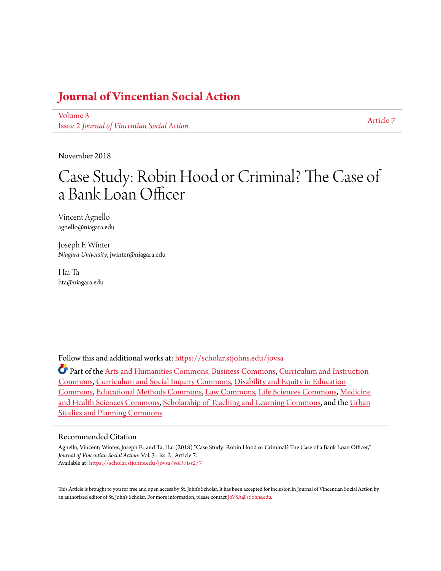### **[Journal of Vincentian Social Action](https://scholar.stjohns.edu/jovsa?utm_source=scholar.stjohns.edu%2Fjovsa%2Fvol3%2Fiss2%2F7&utm_medium=PDF&utm_campaign=PDFCoverPages)**

[Volume 3](https://scholar.stjohns.edu/jovsa/vol3?utm_source=scholar.stjohns.edu%2Fjovsa%2Fvol3%2Fiss2%2F7&utm_medium=PDF&utm_campaign=PDFCoverPages) Issue 2 *[Journal of Vincentian Social Action](https://scholar.stjohns.edu/jovsa/vol3/iss2?utm_source=scholar.stjohns.edu%2Fjovsa%2Fvol3%2Fiss2%2F7&utm_medium=PDF&utm_campaign=PDFCoverPages)*

[Article 7](https://scholar.stjohns.edu/jovsa/vol3/iss2/7?utm_source=scholar.stjohns.edu%2Fjovsa%2Fvol3%2Fiss2%2F7&utm_medium=PDF&utm_campaign=PDFCoverPages)

November 2018

# Case Study: Robin Hood or Criminal? The Case of a Bank Loan Officer

Vincent Agnello agnello@niagara.edu

Joseph F. Winter *Niagara University*, jwinter@niagara.edu

Hai Ta hta@niagara.edu

Follow this and additional works at: [https://scholar.stjohns.edu/jovsa](https://scholar.stjohns.edu/jovsa?utm_source=scholar.stjohns.edu%2Fjovsa%2Fvol3%2Fiss2%2F7&utm_medium=PDF&utm_campaign=PDFCoverPages)

Part of the [Arts and Humanities Commons](http://network.bepress.com/hgg/discipline/438?utm_source=scholar.stjohns.edu%2Fjovsa%2Fvol3%2Fiss2%2F7&utm_medium=PDF&utm_campaign=PDFCoverPages), [Business Commons,](http://network.bepress.com/hgg/discipline/622?utm_source=scholar.stjohns.edu%2Fjovsa%2Fvol3%2Fiss2%2F7&utm_medium=PDF&utm_campaign=PDFCoverPages) [Curriculum and Instruction](http://network.bepress.com/hgg/discipline/786?utm_source=scholar.stjohns.edu%2Fjovsa%2Fvol3%2Fiss2%2F7&utm_medium=PDF&utm_campaign=PDFCoverPages) [Commons,](http://network.bepress.com/hgg/discipline/786?utm_source=scholar.stjohns.edu%2Fjovsa%2Fvol3%2Fiss2%2F7&utm_medium=PDF&utm_campaign=PDFCoverPages) [Curriculum and Social Inquiry Commons,](http://network.bepress.com/hgg/discipline/1038?utm_source=scholar.stjohns.edu%2Fjovsa%2Fvol3%2Fiss2%2F7&utm_medium=PDF&utm_campaign=PDFCoverPages) [Disability and Equity in Education](http://network.bepress.com/hgg/discipline/1040?utm_source=scholar.stjohns.edu%2Fjovsa%2Fvol3%2Fiss2%2F7&utm_medium=PDF&utm_campaign=PDFCoverPages) [Commons,](http://network.bepress.com/hgg/discipline/1040?utm_source=scholar.stjohns.edu%2Fjovsa%2Fvol3%2Fiss2%2F7&utm_medium=PDF&utm_campaign=PDFCoverPages) [Educational Methods Commons](http://network.bepress.com/hgg/discipline/1227?utm_source=scholar.stjohns.edu%2Fjovsa%2Fvol3%2Fiss2%2F7&utm_medium=PDF&utm_campaign=PDFCoverPages), [Law Commons](http://network.bepress.com/hgg/discipline/578?utm_source=scholar.stjohns.edu%2Fjovsa%2Fvol3%2Fiss2%2F7&utm_medium=PDF&utm_campaign=PDFCoverPages), [Life Sciences Commons,](http://network.bepress.com/hgg/discipline/1016?utm_source=scholar.stjohns.edu%2Fjovsa%2Fvol3%2Fiss2%2F7&utm_medium=PDF&utm_campaign=PDFCoverPages) [Medicine](http://network.bepress.com/hgg/discipline/648?utm_source=scholar.stjohns.edu%2Fjovsa%2Fvol3%2Fiss2%2F7&utm_medium=PDF&utm_campaign=PDFCoverPages) [and Health Sciences Commons,](http://network.bepress.com/hgg/discipline/648?utm_source=scholar.stjohns.edu%2Fjovsa%2Fvol3%2Fiss2%2F7&utm_medium=PDF&utm_campaign=PDFCoverPages) [Scholarship of Teaching and Learning Commons](http://network.bepress.com/hgg/discipline/1328?utm_source=scholar.stjohns.edu%2Fjovsa%2Fvol3%2Fiss2%2F7&utm_medium=PDF&utm_campaign=PDFCoverPages), and the [Urban](http://network.bepress.com/hgg/discipline/436?utm_source=scholar.stjohns.edu%2Fjovsa%2Fvol3%2Fiss2%2F7&utm_medium=PDF&utm_campaign=PDFCoverPages) [Studies and Planning Commons](http://network.bepress.com/hgg/discipline/436?utm_source=scholar.stjohns.edu%2Fjovsa%2Fvol3%2Fiss2%2F7&utm_medium=PDF&utm_campaign=PDFCoverPages)

#### Recommended Citation

Agnello, Vincent; Winter, Joseph F.; and Ta, Hai (2018) "Case Study: Robin Hood or Criminal? The Case of a Bank Loan Officer," *Journal of Vincentian Social Action*: Vol. 3 : Iss. 2 , Article 7. Available at: [https://scholar.stjohns.edu/jovsa/vol3/iss2/7](https://scholar.stjohns.edu/jovsa/vol3/iss2/7?utm_source=scholar.stjohns.edu%2Fjovsa%2Fvol3%2Fiss2%2F7&utm_medium=PDF&utm_campaign=PDFCoverPages)

This Article is brought to you for free and open access by St. John's Scholar. It has been accepted for inclusion in Journal of Vincentian Social Action by an authorized editor of St. John's Scholar. For more information, please contact [JoVSA@stjohns.edu.](mailto:JoVSA@stjohns.edu)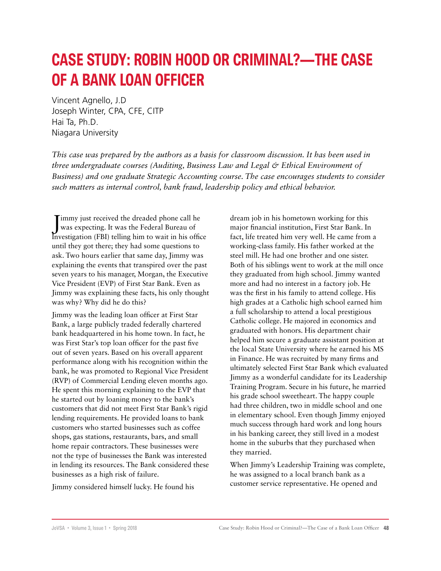# **CASE STUDY: ROBIN HOOD OR CRIMINAL?—THE CASE OF A BANK LOAN OFFICER**

Vincent Agnello, J.D Joseph Winter, CPA, CFE, CITP Hai Ta, Ph.D. Niagara University

*This case was prepared by the authors as a basis for classroom discussion. It has been used in three undergraduate courses (Auditing, Business Law and Legal & Ethical Environment of Business) and one graduate Strategic Accounting course. The case encourages students to consider such matters as internal control, bank fraud, leadership policy and ethical behavior.*

J was expecting. It was the Federal Bureau of  $\mathbf{T}$ immy just received the dreaded phone call he Investigation (FBI) telling him to wait in his office until they got there; they had some questions to ask. Two hours earlier that same day, Jimmy was explaining the events that transpired over the past seven years to his manager, Morgan, the Executive Vice President (EVP) of First Star Bank. Even as Jimmy was explaining these facts, his only thought was why? Why did he do this?

Jimmy was the leading loan officer at First Star Bank, a large publicly traded federally chartered bank headquartered in his home town. In fact, he was First Star's top loan officer for the past five out of seven years. Based on his overall apparent performance along with his recognition within the bank, he was promoted to Regional Vice President (RVP) of Commercial Lending eleven months ago. He spent this morning explaining to the EVP that he started out by loaning money to the bank's customers that did not meet First Star Bank's rigid lending requirements. He provided loans to bank customers who started businesses such as coffee shops, gas stations, restaurants, bars, and small home repair contractors. These businesses were not the type of businesses the Bank was interested in lending its resources. The Bank considered these businesses as a high risk of failure.

Jimmy considered himself lucky. He found his

dream job in his hometown working for this major financial institution, First Star Bank. In fact, life treated him very well. He came from a working-class family. His father worked at the steel mill. He had one brother and one sister. Both of his siblings went to work at the mill once they graduated from high school. Jimmy wanted more and had no interest in a factory job. He was the first in his family to attend college. His high grades at a Catholic high school earned him a full scholarship to attend a local prestigious Catholic college. He majored in economics and graduated with honors. His department chair helped him secure a graduate assistant position at the local State University where he earned his MS in Finance. He was recruited by many firms and ultimately selected First Star Bank which evaluated Jimmy as a wonderful candidate for its Leadership Training Program. Secure in his future, he married his grade school sweetheart. The happy couple had three children, two in middle school and one in elementary school. Even though Jimmy enjoyed much success through hard work and long hours in his banking career, they still lived in a modest home in the suburbs that they purchased when they married.

When Jimmy's Leadership Training was complete, he was assigned to a local branch bank as a customer service representative. He opened and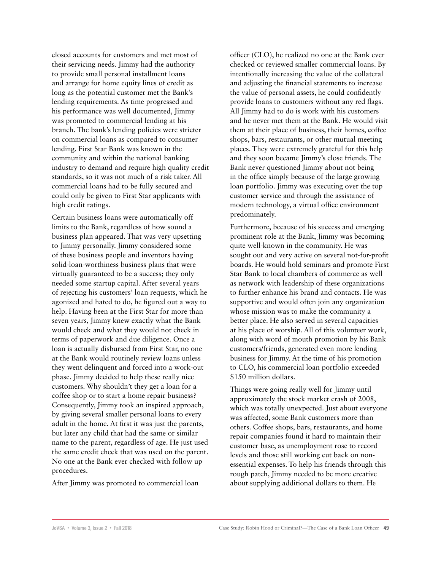closed accounts for customers and met most of their servicing needs. Jimmy had the authority to provide small personal installment loans and arrange for home equity lines of credit as long as the potential customer met the Bank's lending requirements. As time progressed and his performance was well documented, Jimmy was promoted to commercial lending at his branch. The bank's lending policies were stricter on commercial loans as compared to consumer lending. First Star Bank was known in the community and within the national banking industry to demand and require high quality credit standards, so it was not much of a risk taker. All commercial loans had to be fully secured and could only be given to First Star applicants with high credit ratings.

Certain business loans were automatically off limits to the Bank, regardless of how sound a business plan appeared. That was very upsetting to Jimmy personally. Jimmy considered some of these business people and inventors having solid-loan-worthiness business plans that were virtually guaranteed to be a success; they only needed some startup capital. After several years of rejecting his customers' loan requests, which he agonized and hated to do, he figured out a way to help. Having been at the First Star for more than seven years, Jimmy knew exactly what the Bank would check and what they would not check in terms of paperwork and due diligence. Once a loan is actually disbursed from First Star, no one at the Bank would routinely review loans unless they went delinquent and forced into a work-out phase. Jimmy decided to help these really nice customers. Why shouldn't they get a loan for a coffee shop or to start a home repair business? Consequently, Jimmy took an inspired approach, by giving several smaller personal loans to every adult in the home. At first it was just the parents, but later any child that had the same or similar name to the parent, regardless of age. He just used the same credit check that was used on the parent. No one at the Bank ever checked with follow up procedures.

After Jimmy was promoted to commercial loan

officer (CLO), he realized no one at the Bank ever checked or reviewed smaller commercial loans. By intentionally increasing the value of the collateral and adjusting the financial statements to increase the value of personal assets, he could confidently provide loans to customers without any red flags. All Jimmy had to do is work with his customers and he never met them at the Bank. He would visit them at their place of business, their homes, coffee shops, bars, restaurants, or other mutual meeting places. They were extremely grateful for this help and they soon became Jimmy's close friends. The Bank never questioned Jimmy about not being in the office simply because of the large growing loan portfolio. Jimmy was executing over the top customer service and through the assistance of modern technology, a virtual office environment predominately.

Furthermore, because of his success and emerging prominent role at the Bank, Jimmy was becoming quite well-known in the community. He was sought out and very active on several not-for-profit boards. He would hold seminars and promote First Star Bank to local chambers of commerce as well as network with leadership of these organizations to further enhance his brand and contacts. He was supportive and would often join any organization whose mission was to make the community a better place. He also served in several capacities at his place of worship. All of this volunteer work, along with word of mouth promotion by his Bank customers/friends, generated even more lending business for Jimmy. At the time of his promotion to CLO, his commercial loan portfolio exceeded \$150 million dollars.

Things were going really well for Jimmy until approximately the stock market crash of 2008, which was totally unexpected. Just about everyone was affected, some Bank customers more than others. Coffee shops, bars, restaurants, and home repair companies found it hard to maintain their customer base, as unemployment rose to record levels and those still working cut back on nonessential expenses. To help his friends through this rough patch, Jimmy needed to be more creative about supplying additional dollars to them. He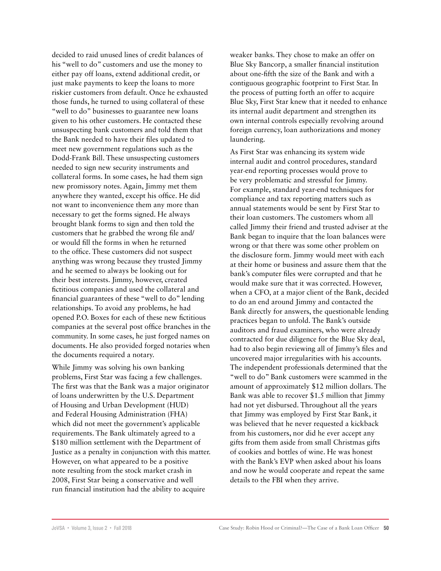decided to raid unused lines of credit balances of his "well to do" customers and use the money to either pay off loans, extend additional credit, or just make payments to keep the loans to more riskier customers from default. Once he exhausted those funds, he turned to using collateral of these "well to do" businesses to guarantee new loans given to his other customers. He contacted these unsuspecting bank customers and told them that the Bank needed to have their files updated to meet new government regulations such as the Dodd-Frank Bill. These unsuspecting customers needed to sign new security instruments and collateral forms. In some cases, he had them sign new promissory notes. Again, Jimmy met them anywhere they wanted, except his office. He did not want to inconvenience them any more than necessary to get the forms signed. He always brought blank forms to sign and then told the customers that he grabbed the wrong file and/ or would fill the forms in when he returned to the office. These customers did not suspect anything was wrong because they trusted Jimmy and he seemed to always be looking out for their best interests. Jimmy, however, created fictitious companies and used the collateral and financial guarantees of these "well to do" lending relationships. To avoid any problems, he had opened P.O. Boxes for each of these new fictitious companies at the several post office branches in the community. In some cases, he just forged names on documents. He also provided forged notaries when the documents required a notary.

While Jimmy was solving his own banking problems, First Star was facing a few challenges. The first was that the Bank was a major originator of loans underwritten by the U.S. Department of Housing and Urban Development (HUD) and Federal Housing Administration (FHA) which did not meet the government's applicable requirements. The Bank ultimately agreed to a \$180 million settlement with the Department of Justice as a penalty in conjunction with this matter. However, on what appeared to be a positive note resulting from the stock market crash in 2008, First Star being a conservative and well run financial institution had the ability to acquire

weaker banks. They chose to make an offer on Blue Sky Bancorp, a smaller financial institution about one-fifth the size of the Bank and with a contiguous geographic footprint to First Star. In the process of putting forth an offer to acquire Blue Sky, First Star knew that it needed to enhance its internal audit department and strengthen its own internal controls especially revolving around foreign currency, loan authorizations and money laundering.

As First Star was enhancing its system wide internal audit and control procedures, standard year-end reporting processes would prove to be very problematic and stressful for Jimmy. For example, standard year-end techniques for compliance and tax reporting matters such as annual statements would be sent by First Star to their loan customers. The customers whom all called Jimmy their friend and trusted adviser at the Bank began to inquire that the loan balances were wrong or that there was some other problem on the disclosure form. Jimmy would meet with each at their home or business and assure them that the bank's computer files were corrupted and that he would make sure that it was corrected. However, when a CFO, at a major client of the Bank, decided to do an end around Jimmy and contacted the Bank directly for answers, the questionable lending practices began to unfold. The Bank's outside auditors and fraud examiners, who were already contracted for due diligence for the Blue Sky deal, had to also begin reviewing all of Jimmy's files and uncovered major irregularities with his accounts. The independent professionals determined that the "well to do" Bank customers were scammed in the amount of approximately \$12 million dollars. The Bank was able to recover \$1.5 million that Jimmy had not yet disbursed. Throughout all the years that Jimmy was employed by First Star Bank, it was believed that he never requested a kickback from his customers, nor did he ever accept any gifts from them aside from small Christmas gifts of cookies and bottles of wine. He was honest with the Bank's EVP when asked about his loans and now he would cooperate and repeat the same details to the FBI when they arrive.